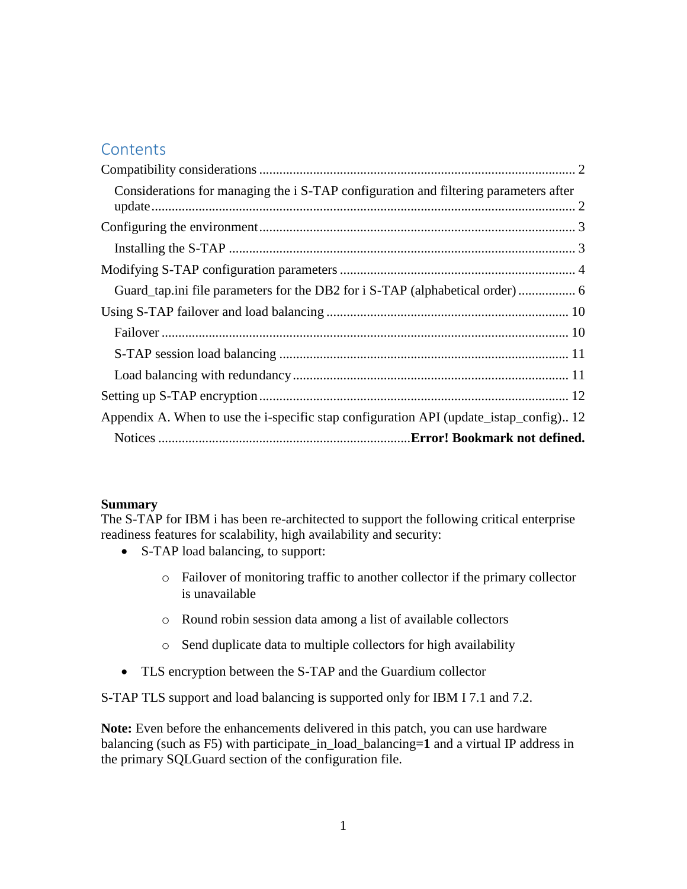## **Contents**

| Considerations for managing the <i>i</i> S-TAP configuration and filtering parameters after |  |
|---------------------------------------------------------------------------------------------|--|
|                                                                                             |  |
|                                                                                             |  |
|                                                                                             |  |
|                                                                                             |  |
|                                                                                             |  |
|                                                                                             |  |
|                                                                                             |  |
|                                                                                             |  |
|                                                                                             |  |
| Appendix A. When to use the i-specific stap configuration API (update_istap_config) 12      |  |
|                                                                                             |  |

### **Summary**

The S-TAP for IBM i has been re-architected to support the following critical enterprise readiness features for scalability, high availability and security:

- S-TAP load balancing, to support:
	- o Failover of monitoring traffic to another collector if the primary collector is unavailable
	- o Round robin session data among a list of available collectors
	- o Send duplicate data to multiple collectors for high availability
- TLS encryption between the S-TAP and the Guardium collector

S-TAP TLS support and load balancing is supported only for IBM I 7.1 and 7.2.

**Note:** Even before the enhancements delivered in this patch, you can use hardware balancing (such as F5) with participate\_in\_load\_balancing=**1** and a virtual IP address in the primary SQLGuard section of the configuration file.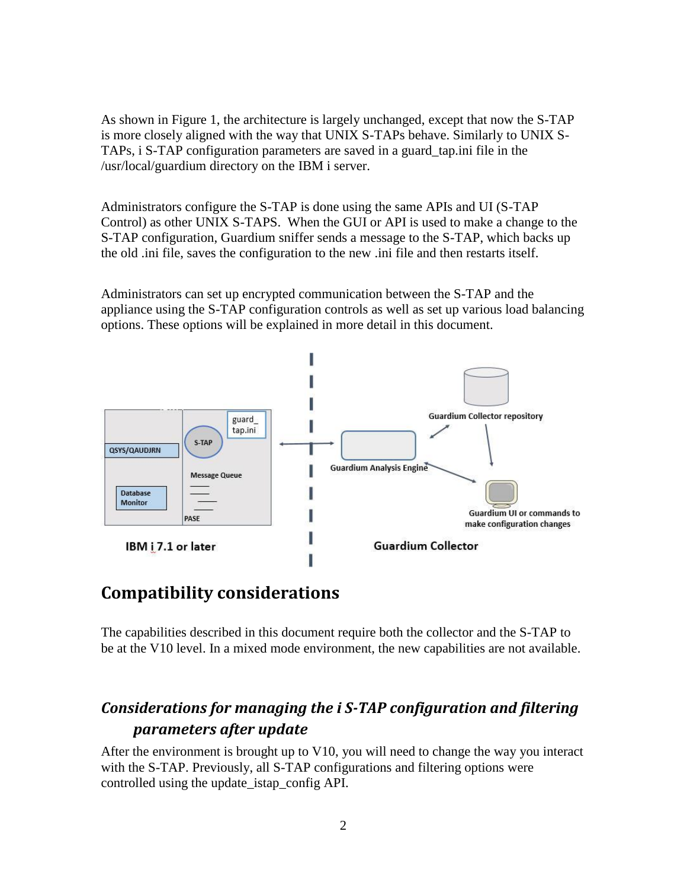As shown in Figure 1, the architecture is largely unchanged, except that now the S-TAP is more closely aligned with the way that UNIX S-TAPs behave. Similarly to UNIX S-TAPs, i S-TAP configuration parameters are saved in a guard\_tap.ini file in the /usr/local/guardium directory on the IBM i server.

Administrators configure the S-TAP is done using the same APIs and UI (S-TAP Control) as other UNIX S-TAPS. When the GUI or API is used to make a change to the S-TAP configuration, Guardium sniffer sends a message to the S-TAP, which backs up the old .ini file, saves the configuration to the new .ini file and then restarts itself.

Administrators can set up encrypted communication between the S-TAP and the appliance using the S-TAP configuration controls as well as set up various load balancing options. These options will be explained in more detail in this document.



## <span id="page-1-0"></span>**Compatibility considerations**

The capabilities described in this document require both the collector and the S-TAP to be at the V10 level. In a mixed mode environment, the new capabilities are not available.

## <span id="page-1-1"></span>*Considerations for managing the i S-TAP configuration and filtering parameters after update*

After the environment is brought up to V10, you will need to change the way you interact with the S-TAP. Previously, all S-TAP configurations and filtering options were controlled using the update\_istap\_config API.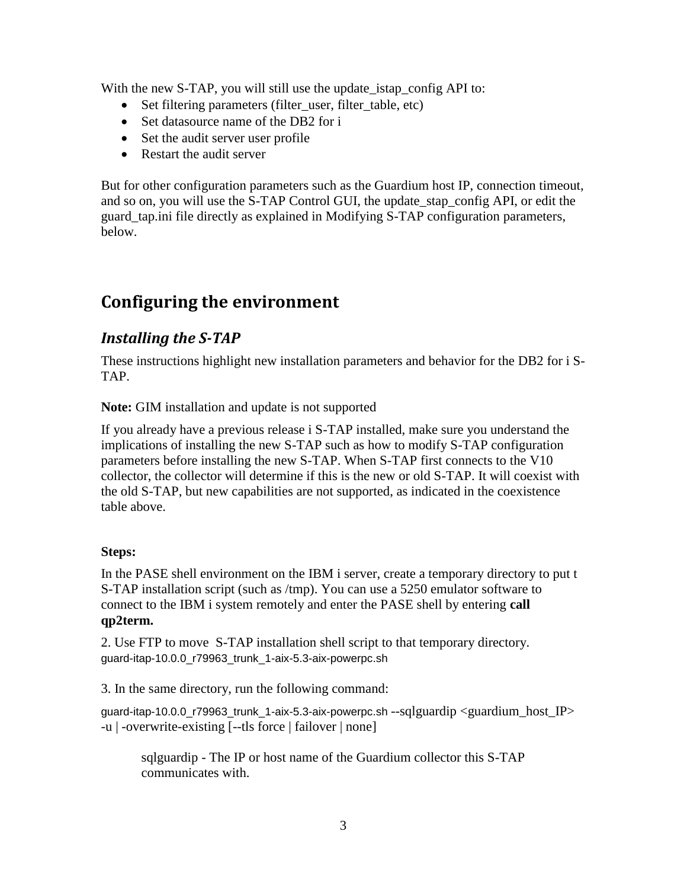With the new S-TAP, you will still use the update\_istap\_config API to:

- Set filtering parameters (filter\_user, filter\_table, etc)
- Set datasource name of the DB2 for i
- Set the audit server user profile
- Restart the audit server

But for other configuration parameters such as the Guardium host IP, connection timeout, and so on, you will use the S-TAP Control GUI, the update\_stap\_config API, or edit the guard\_tap.ini file directly as explained in [Modifying S-TAP configuration parameters,](#page-3-0) below.

# <span id="page-2-0"></span>**Configuring the environment**

## <span id="page-2-1"></span>*Installing the S-TAP*

These instructions highlight new installation parameters and behavior for the DB2 for i S-TAP.

**Note:** GIM installation and update is not supported

If you already have a previous release i S-TAP installed, make sure you understand the implications of installing the new S-TAP such as how to modify S-TAP configuration parameters before installing the new S-TAP. When S-TAP first connects to the V10 collector, the collector will determine if this is the new or old S-TAP. It will coexist with the old S-TAP, but new capabilities are not supported, as indicated in the coexistence table above.

### **Steps:**

In the PASE shell environment on the IBM i server, create a temporary directory to put t S-TAP installation script (such as /tmp). You can use a 5250 emulator software to connect to the IBM i system remotely and enter the PASE shell by entering **call qp2term.**

2. Use FTP to move S-TAP installation shell script to that temporary directory. guard-itap-10.0.0\_r79963\_trunk\_1-aix-5.3-aix-powerpc.sh

3. In the same directory, run the following command:

guard-itap-10.0.0\_r79963\_trunk\_1-aix-5.3-aix-powerpc.sh --sqlguardip <guardium\_host\_IP> -u | -overwrite-existing [--tls force | failover | none]

sqlguardip - The IP or host name of the Guardium collector this S-TAP communicates with.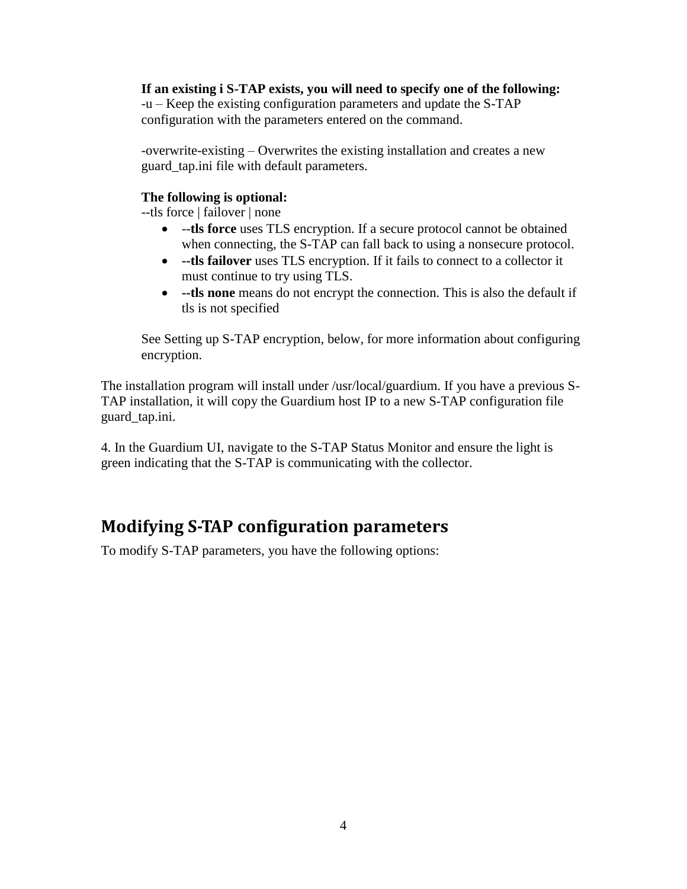**If an existing i S-TAP exists, you will need to specify one of the following:** -u – Keep the existing configuration parameters and update the S-TAP configuration with the parameters entered on the command.

-overwrite-existing – Overwrites the existing installation and creates a new guard\_tap.ini file with default parameters.

### **The following is optional:**

--tls force | failover | none

- --**tls force** uses TLS encryption. If a secure protocol cannot be obtained when connecting, the S-TAP can fall back to using a nonsecure protocol.
- **--tls failover** uses TLS encryption. If it fails to connect to a collector it must continue to try using TLS.
- **--tls none** means do not encrypt the connection. This is also the default if tls is not specified

See [Setting up S-TAP encryption,](#page-11-0) below, for more information about configuring encryption.

The installation program will install under /usr/local/guardium. If you have a previous S-TAP installation, it will copy the Guardium host IP to a new S-TAP configuration file guard\_tap.ini.

4. In the Guardium UI, navigate to the S-TAP Status Monitor and ensure the light is green indicating that the S-TAP is communicating with the collector.

# <span id="page-3-0"></span>**Modifying S-TAP configuration parameters**

To modify S-TAP parameters, you have the following options: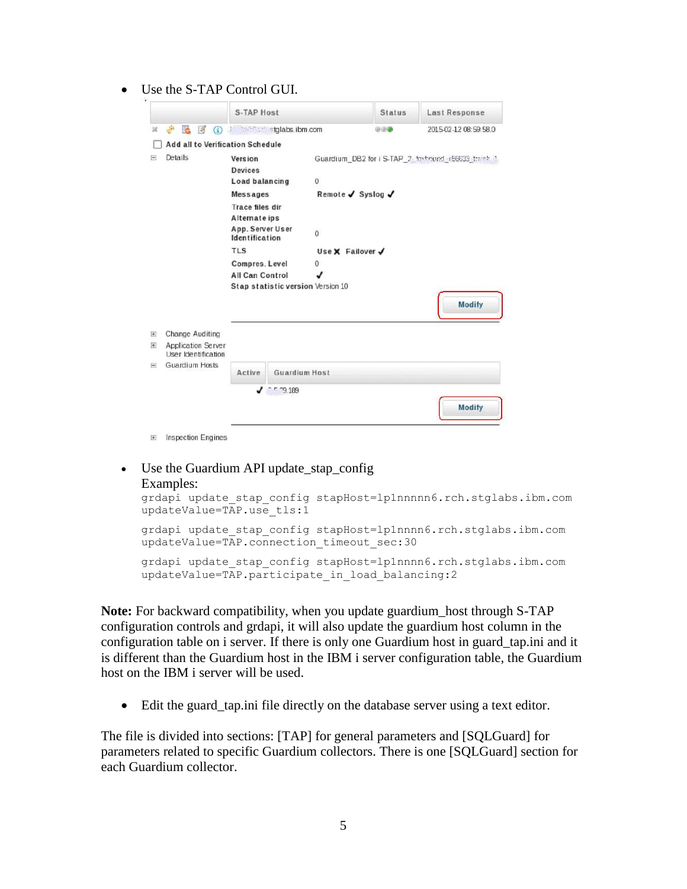Use the S-TAP Control GUI.

|                                                                                    | <b>S-TAP Host</b>                       |                      | <b>Status</b>     | <b>Last Response</b>                               |
|------------------------------------------------------------------------------------|-----------------------------------------|----------------------|-------------------|----------------------------------------------------|
| GO.<br>$G$ $\beta$<br>$\circ$<br>觉                                                 | the state of states ibm.com             |                      | 000               | 2015-02-12 08:59:58.0                              |
| <b>Add all to Verification Schedule</b>                                            |                                         |                      |                   |                                                    |
| Details<br>E                                                                       | Version<br><b>Devices</b>               |                      |                   | Guardium_DB2 for i S-TAP_2_fectourd_r56633_track_1 |
|                                                                                    | Load balancing                          | $\mathbf 0$          |                   |                                                    |
|                                                                                    | <b>Messages</b>                         |                      | Remote ✔ Syslog ✔ |                                                    |
|                                                                                    | <b>Trace files dir</b><br>Alternate ips |                      |                   |                                                    |
|                                                                                    | App. Server User<br>Identification      | $\overline{0}$       |                   |                                                    |
|                                                                                    | <b>TLS</b>                              | Use X Failover ✔     |                   |                                                    |
|                                                                                    | Compres. Level                          | 0                    |                   |                                                    |
|                                                                                    | <b>All Can Control</b>                  |                      |                   |                                                    |
|                                                                                    | Stap statistic version Version 10       |                      |                   |                                                    |
|                                                                                    |                                         |                      |                   | <b>Modify</b>                                      |
| <b>Change Auditing</b><br>E                                                        |                                         |                      |                   |                                                    |
| Application Server<br>$\begin{array}{c} \hline \end{array}$<br>User Identification |                                         |                      |                   |                                                    |
| Guardium Hosts<br>冃                                                                | Active                                  | <b>Guardium Host</b> |                   |                                                    |
|                                                                                    | $J$ $ \frac{189}{2}$                    |                      |                   |                                                    |
|                                                                                    |                                         |                      |                   | <b>Modify</b>                                      |
|                                                                                    |                                         |                      |                   |                                                    |

#### Use the Guardium API update\_stap\_config Examples:

```
grdapi update_stap_config stapHost=lp1nnnnn6.rch.stglabs.ibm.com 
updateValue=TAP.use_tls:1
```

```
grdapi update stap config stapHost=lp1nnnn6.rch.stglabs.ibm.com
updateValue=TAP.connection_timeout_sec:30
```

```
grdapi update stap config stapHost=lp1nnnn6.rch.stglabs.ibm.com
updateValue=TAP.participate in load balancing:2
```
**Note:** For backward compatibility, when you update guardium\_host through S-TAP configuration controls and grdapi, it will also update the guardium host column in the configuration table on i server. If there is only one Guardium host in guard\_tap.ini and it is different than the Guardium host in the IBM i server configuration table, the Guardium host on the IBM i server will be used.

Edit the guard\_tap.ini file directly on the database server using a text editor.

The file is divided into sections: [TAP] for general parameters and [SQLGuard] for parameters related to specific Guardium collectors. There is one [SQLGuard] section for each Guardium collector.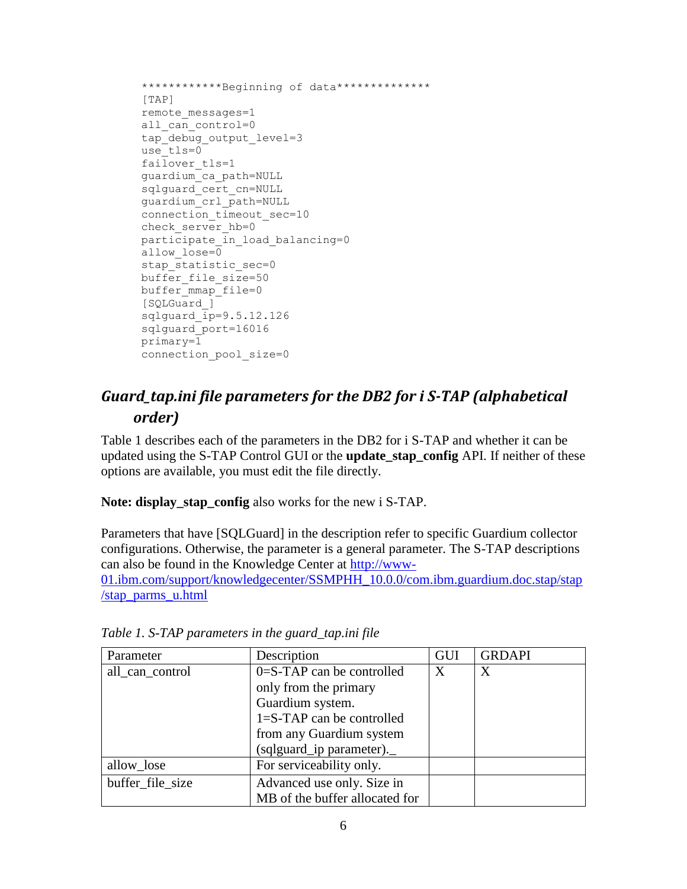```
************Beginning of data**************
[TAP] 
remote_messages=1 
all can control=0
tap_debug_output_level=3
use tls=0
failover tls=1
guardium_ca_path=NULL 
sqlguard_cert_cn=NULL
guardium_crl_path=NULL 
connection timeout sec=10
check server hb=0
participate in load_balancing=0
allow_lose=0 
stap statistic sec=0
buffer file size=50
buffer mmap file=0
[SQLGuard_] 
sqlquard ip=9.5.12.126sqlguard_port=16016 
primary=1 
connection_pool_size=0
```
## <span id="page-5-0"></span>*Guard\_tap.ini file parameters for the DB2 for i S-TAP (alphabetical order)*

Table 1 describes each of the parameters in the DB2 for i S-TAP and whether it can be updated using the S-TAP Control GUI or the **update\_stap\_config** API. If neither of these options are available, you must edit the file directly.

**Note: display\_stap\_config** also works for the new i S-TAP.

Parameters that have [SQLGuard] in the description refer to specific Guardium collector configurations. Otherwise, the parameter is a general parameter. The S-TAP descriptions can also be found in the Knowledge Center at [http://www-](http://www-01.ibm.com/support/knowledgecenter/SSMPHH_10.0.0/com.ibm.guardium.doc.stap/stap/stap_parms_u.html)

[01.ibm.com/support/knowledgecenter/SSMPHH\\_10.0.0/com.ibm.guardium.doc.stap/stap](http://www-01.ibm.com/support/knowledgecenter/SSMPHH_10.0.0/com.ibm.guardium.doc.stap/stap/stap_parms_u.html) [/stap\\_parms\\_u.html](http://www-01.ibm.com/support/knowledgecenter/SSMPHH_10.0.0/com.ibm.guardium.doc.stap/stap/stap_parms_u.html)

| Parameter        | Description                    | GUI | <b>GRDAPI</b> |
|------------------|--------------------------------|-----|---------------|
| all_can_control  | $0 = S-TAP$ can be controlled  | X   | Χ             |
|                  | only from the primary          |     |               |
|                  | Guardium system.               |     |               |
|                  | $1 = S-TAP$ can be controlled  |     |               |
|                  | from any Guardium system       |     |               |
|                  | (sqlguard_ip parameter).       |     |               |
| allow_lose       | For serviceability only.       |     |               |
| buffer file size | Advanced use only. Size in     |     |               |
|                  | MB of the buffer allocated for |     |               |

*Table 1. S-TAP parameters in the guard\_tap.ini file*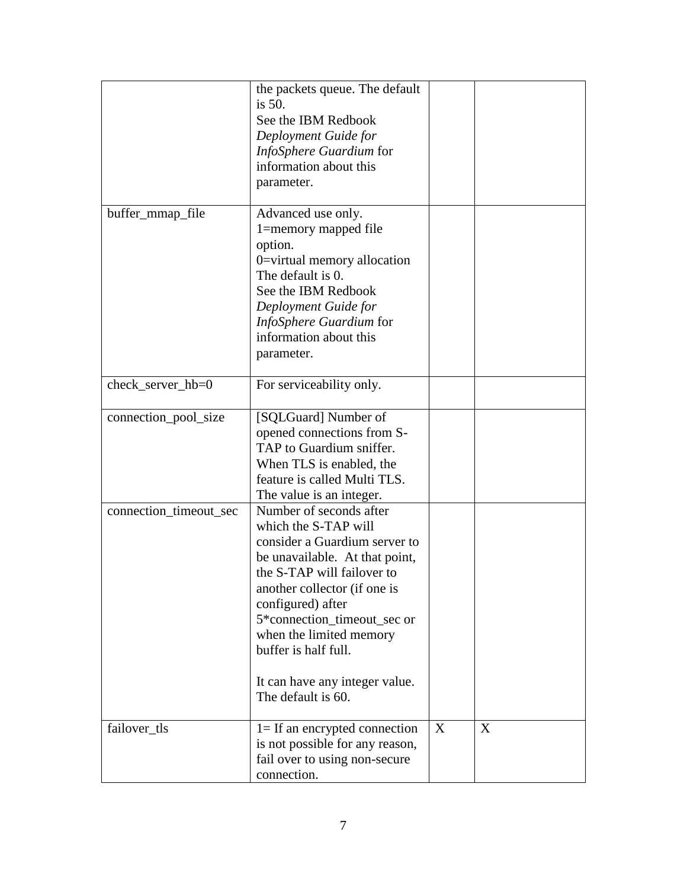|                        | the packets queue. The default<br>is $50$ .<br>See the IBM Redbook<br>Deployment Guide for<br>InfoSphere Guardium for<br>information about this<br>parameter.                                                                                                                                                                                   |   |   |
|------------------------|-------------------------------------------------------------------------------------------------------------------------------------------------------------------------------------------------------------------------------------------------------------------------------------------------------------------------------------------------|---|---|
| buffer_mmap_file       | Advanced use only.<br>1=memory mapped file<br>option.<br>0=virtual memory allocation<br>The default is 0.<br>See the IBM Redbook<br>Deployment Guide for<br>InfoSphere Guardium for<br>information about this<br>parameter.                                                                                                                     |   |   |
| check_server_hb=0      | For serviceability only.                                                                                                                                                                                                                                                                                                                        |   |   |
| connection_pool_size   | [SQLGuard] Number of<br>opened connections from S-<br>TAP to Guardium sniffer.<br>When TLS is enabled, the<br>feature is called Multi TLS.<br>The value is an integer.                                                                                                                                                                          |   |   |
| connection_timeout_sec | Number of seconds after<br>which the S-TAP will<br>consider a Guardium server to<br>be unavailable. At that point,<br>the S-TAP will failover to<br>another collector (if one is<br>configured) after<br>5*connection_timeout_sec or<br>when the limited memory<br>buffer is half full.<br>It can have any integer value.<br>The default is 60. |   |   |
| failover_tls           | $1 =$ If an encrypted connection<br>is not possible for any reason,<br>fail over to using non-secure<br>connection.                                                                                                                                                                                                                             | X | X |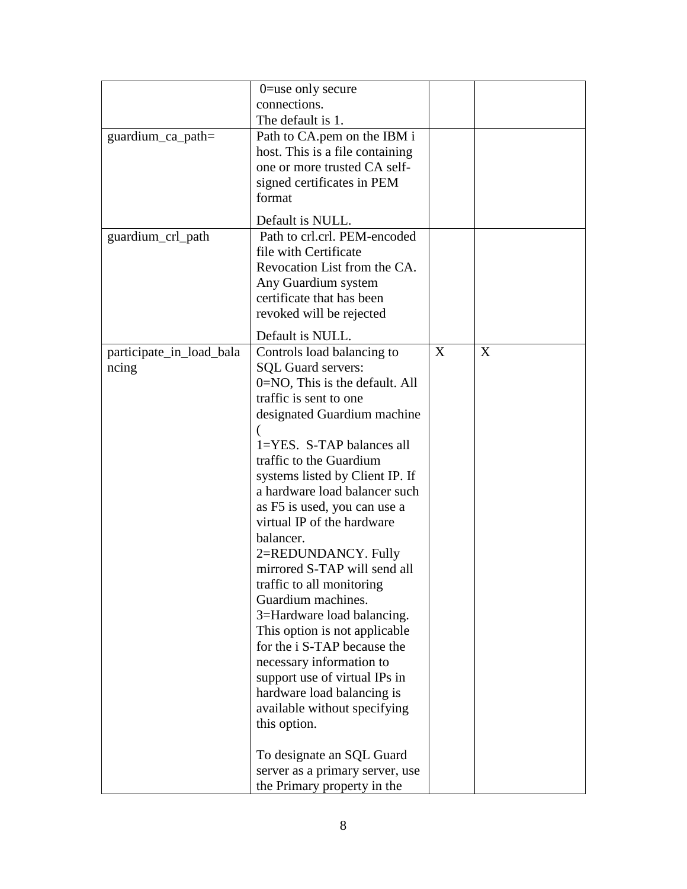|                          | $0 =$ use only secure                                            |   |   |
|--------------------------|------------------------------------------------------------------|---|---|
|                          | connections.<br>The default is 1.                                |   |   |
| guardium_ca_path=        | Path to CA.pem on the IBM i                                      |   |   |
|                          | host. This is a file containing                                  |   |   |
|                          | one or more trusted CA self-                                     |   |   |
|                          | signed certificates in PEM                                       |   |   |
|                          | format                                                           |   |   |
|                          | Default is NULL.                                                 |   |   |
| guardium_crl_path        | Path to crl.crl. PEM-encoded                                     |   |   |
|                          | file with Certificate                                            |   |   |
|                          | Revocation List from the CA.                                     |   |   |
|                          | Any Guardium system<br>certificate that has been                 |   |   |
|                          | revoked will be rejected                                         |   |   |
|                          |                                                                  |   |   |
| participate_in_load_bala | Default is NULL.<br>Controls load balancing to                   | X | X |
| ncing                    | <b>SQL Guard servers:</b>                                        |   |   |
|                          | $0 = NO$ , This is the default. All                              |   |   |
|                          | traffic is sent to one                                           |   |   |
|                          | designated Guardium machine                                      |   |   |
|                          |                                                                  |   |   |
|                          | 1=YES. S-TAP balances all                                        |   |   |
|                          | traffic to the Guardium                                          |   |   |
|                          | systems listed by Client IP. If<br>a hardware load balancer such |   |   |
|                          | as F5 is used, you can use a                                     |   |   |
|                          | virtual IP of the hardware                                       |   |   |
|                          | balancer.                                                        |   |   |
|                          | 2=REDUNDANCY. Fully                                              |   |   |
|                          | mirrored S-TAP will send all                                     |   |   |
|                          | traffic to all monitoring                                        |   |   |
|                          | Guardium machines.                                               |   |   |
|                          | 3=Hardware load balancing.                                       |   |   |
|                          | This option is not applicable<br>for the i S-TAP because the     |   |   |
|                          | necessary information to                                         |   |   |
|                          | support use of virtual IPs in                                    |   |   |
|                          | hardware load balancing is                                       |   |   |
|                          | available without specifying                                     |   |   |
|                          | this option.                                                     |   |   |
|                          |                                                                  |   |   |
|                          | To designate an SQL Guard<br>server as a primary server, use     |   |   |
|                          | the Primary property in the                                      |   |   |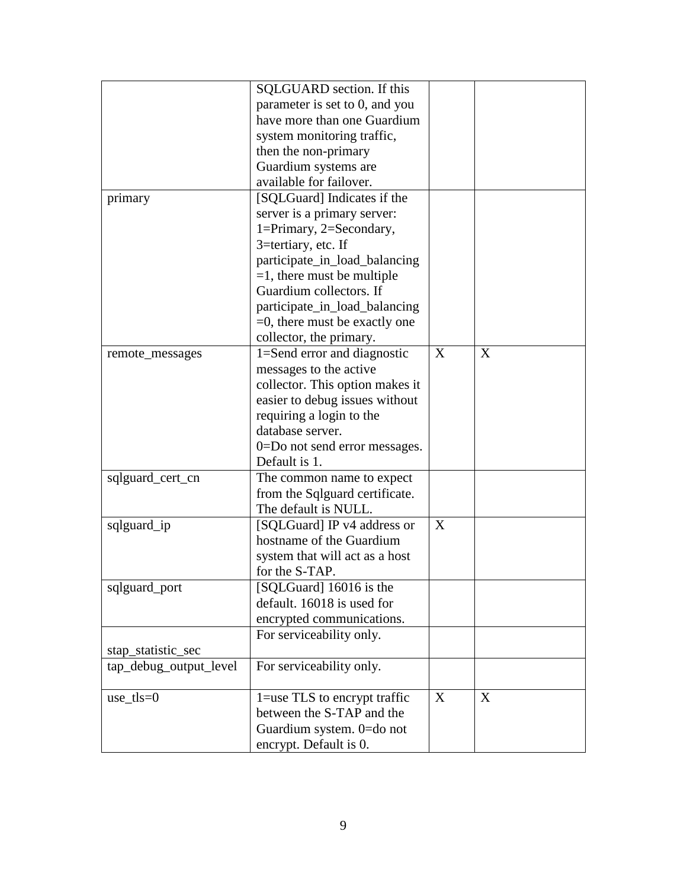|                        | SQLGUARD section. If this        |   |   |
|------------------------|----------------------------------|---|---|
|                        | parameter is set to 0, and you   |   |   |
|                        | have more than one Guardium      |   |   |
|                        | system monitoring traffic,       |   |   |
|                        | then the non-primary             |   |   |
|                        |                                  |   |   |
|                        | Guardium systems are             |   |   |
|                        | available for failover.          |   |   |
| primary                | [SQLGuard] Indicates if the      |   |   |
|                        | server is a primary server:      |   |   |
|                        | 1=Primary, 2=Secondary,          |   |   |
|                        | 3=tertiary, etc. If              |   |   |
|                        | participate_in_load_balancing    |   |   |
|                        | $=1$ , there must be multiple    |   |   |
|                        | Guardium collectors. If          |   |   |
|                        | participate_in_load_balancing    |   |   |
|                        | $=0$ , there must be exactly one |   |   |
|                        | collector, the primary.          |   |   |
| remote_messages        | 1=Send error and diagnostic      | X | X |
|                        | messages to the active           |   |   |
|                        | collector. This option makes it  |   |   |
|                        | easier to debug issues without   |   |   |
|                        | requiring a login to the         |   |   |
|                        | database server.                 |   |   |
|                        | 0=Do not send error messages.    |   |   |
|                        | Default is 1.                    |   |   |
|                        |                                  |   |   |
| sqlguard_cert_cn       | The common name to expect        |   |   |
|                        | from the Sqlguard certificate.   |   |   |
|                        | The default is NULL.             |   |   |
| sqlguard_ip            | [SQLGuard] IP v4 address or      | X |   |
|                        | hostname of the Guardium         |   |   |
|                        | system that will act as a host   |   |   |
|                        | for the S-TAP.                   |   |   |
| sqlguard_port          | [SQLGuard] 16016 is the          |   |   |
|                        | default. 16018 is used for       |   |   |
|                        | encrypted communications.        |   |   |
|                        | For serviceability only.         |   |   |
| stap_statistic_sec     |                                  |   |   |
| tap_debug_output_level | For serviceability only.         |   |   |
|                        |                                  |   |   |
| $use_tls=0$            | 1=use TLS to encrypt traffic     | X | X |
|                        | between the S-TAP and the        |   |   |
|                        | Guardium system. 0=do not        |   |   |
|                        | encrypt. Default is 0.           |   |   |
|                        |                                  |   |   |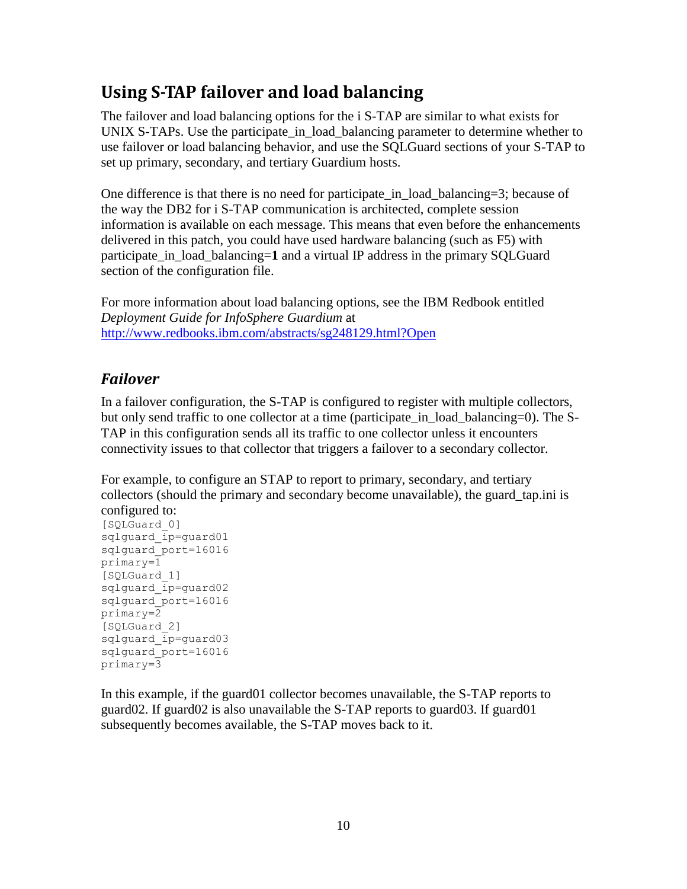# <span id="page-9-0"></span>**Using S-TAP failover and load balancing**

The failover and load balancing options for the i S-TAP are similar to what exists for UNIX S-TAPs. Use the participate\_in\_load\_balancing parameter to determine whether to use failover or load balancing behavior, and use the SQLGuard sections of your S-TAP to set up primary, secondary, and tertiary Guardium hosts.

One difference is that there is no need for participate\_in\_load\_balancing=3; because of the way the DB2 for i S-TAP communication is architected, complete session information is available on each message. This means that even before the enhancements delivered in this patch, you could have used hardware balancing (such as F5) with participate in load balancing=1 and a virtual IP address in the primary SQLGuard section of the configuration file.

For more information about load balancing options, see the IBM Redbook entitled *Deployment Guide for InfoSphere Guardium* at <http://www.redbooks.ibm.com/abstracts/sg248129.html?Open>

## <span id="page-9-1"></span>*Failover*

In a failover configuration, the S-TAP is configured to register with multiple collectors, but only send traffic to one collector at a time (participate in load balancing=0). The S-TAP in this configuration sends all its traffic to one collector unless it encounters connectivity issues to that collector that triggers a failover to a secondary collector.

For example, to configure an STAP to report to primary, secondary, and tertiary collectors (should the primary and secondary become unavailable), the guard\_tap.ini is configured to:

```
[SQLGuard_0] 
sqlguard_ip=guard01 
sqlguard_port=16016 
primary=1 
[SQLGuard_1] 
sqlguard_ip=guard02 
sqlguard_port=16016 
primary=2 
[SQLGuard_2] 
sqlquard ip=quard03
sqlguard_port=16016 
primary=3
```
In this example, if the guard01 collector becomes unavailable, the S-TAP reports to guard02. If guard02 is also unavailable the S-TAP reports to guard03. If guard01 subsequently becomes available, the S-TAP moves back to it.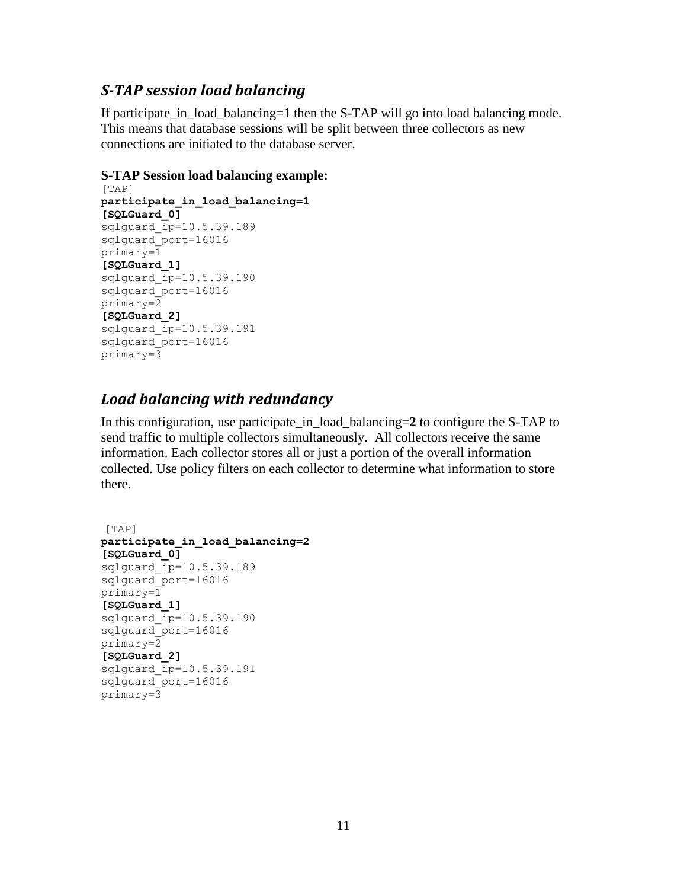### <span id="page-10-0"></span>*S-TAP session load balancing*

If participate\_in\_load\_balancing=1 then the S-TAP will go into load balancing mode. This means that database sessions will be split between three collectors as new connections are initiated to the database server.

### **S-TAP Session load balancing example:**

```
[TAP] 
participate_in_load_balancing=1
[SQLGuard_0]
sqlguard \overline{ip}=10.5.39.189sqlguard_port=16016 
primary=1
[SQLGuard_1]
sqlquard ip=10.5.39.190sqlguard_port=16016 
primary=2 
[SQLGuard_2]
sqlguard_ip=10.5.39.191
sqlguard_port=16016
primary=3
```
## <span id="page-10-1"></span>*Load balancing with redundancy*

In this configuration, use participate\_in\_load\_balancing=**2** to configure the S-TAP to send traffic to multiple collectors simultaneously. All collectors receive the same information. Each collector stores all or just a portion of the overall information collected. Use policy filters on each collector to determine what information to store there.

```
[TAP] 
participate_in_load_balancing=2
[SQLGuard_0]
sqlguard\overline{ip}=10.5.39.189sqlguard_port=16016 
primary=1
[SQLGuard_1]
sqlguard_ip=10.5.39.190
sqlguard_port=16016 
primary=2 
[SQLGuard_2]
sqlguard_ip=10.5.39.191
sqlguard_port=16016
primary=3
```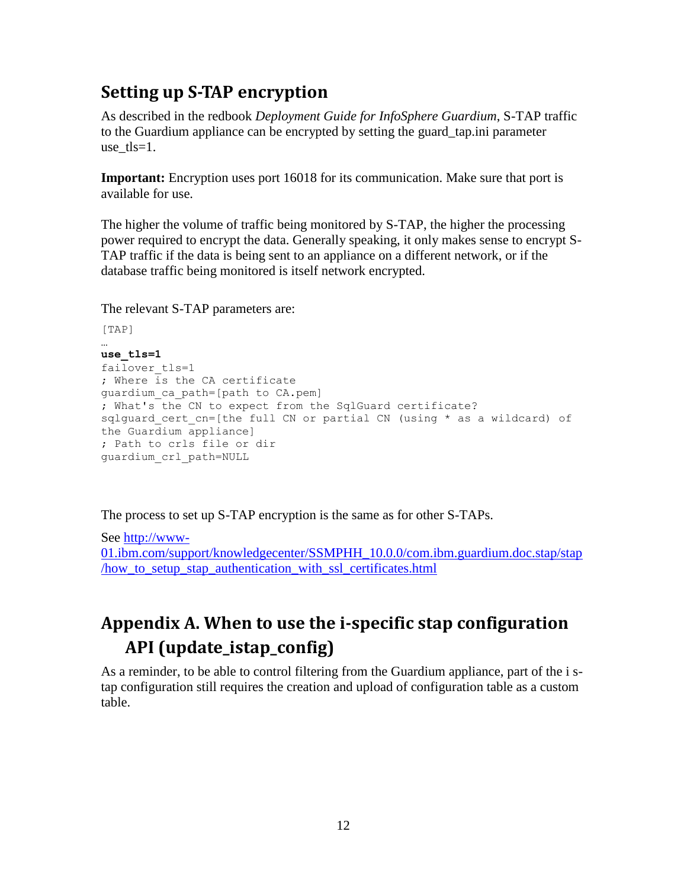# <span id="page-11-0"></span>**Setting up S-TAP encryption**

As described in the redbook *Deployment Guide for InfoSphere Guardium*, S-TAP traffic to the Guardium appliance can be encrypted by setting the guard\_tap.ini parameter use  $tls=1$ .

**Important:** Encryption uses port 16018 for its communication. Make sure that port is available for use.

The higher the volume of traffic being monitored by S-TAP, the higher the processing power required to encrypt the data. Generally speaking, it only makes sense to encrypt S-TAP traffic if the data is being sent to an appliance on a different network, or if the database traffic being monitored is itself network encrypted.

The relevant S-TAP parameters are:

```
[TAP]
…
use_tls=1 
failover_tls=1 
; Where is the CA certificate 
guardium_ca_path=[path to CA.pem] 
; What's the CN to expect from the SqlGuard certificate? 
sqlguard cert cn=[the full CN or partial CN (using * as a wildcard) of
the Guardium appliance] 
; Path to crls file or dir 
guardium_crl_path=NULL
```
The process to set up S-TAP encryption is the same as for other S-TAPs.

See [http://www-](http://www-01.ibm.com/support/knowledgecenter/SSMPHH_10.0.0/com.ibm.guardium.doc.stap/stap/how_to_setup_stap_authentication_with_ssl_certificates.html)[01.ibm.com/support/knowledgecenter/SSMPHH\\_10.0.0/com.ibm.guardium.doc.stap/stap](http://www-01.ibm.com/support/knowledgecenter/SSMPHH_10.0.0/com.ibm.guardium.doc.stap/stap/how_to_setup_stap_authentication_with_ssl_certificates.html) [/how\\_to\\_setup\\_stap\\_authentication\\_with\\_ssl\\_certificates.html](http://www-01.ibm.com/support/knowledgecenter/SSMPHH_10.0.0/com.ibm.guardium.doc.stap/stap/how_to_setup_stap_authentication_with_ssl_certificates.html)

# <span id="page-11-1"></span>**Appendix A. When to use the i-specific stap configuration API (update\_istap\_config)**

As a reminder, to be able to control filtering from the Guardium appliance, part of the i stap configuration still requires the creation and upload of configuration table as a custom table.